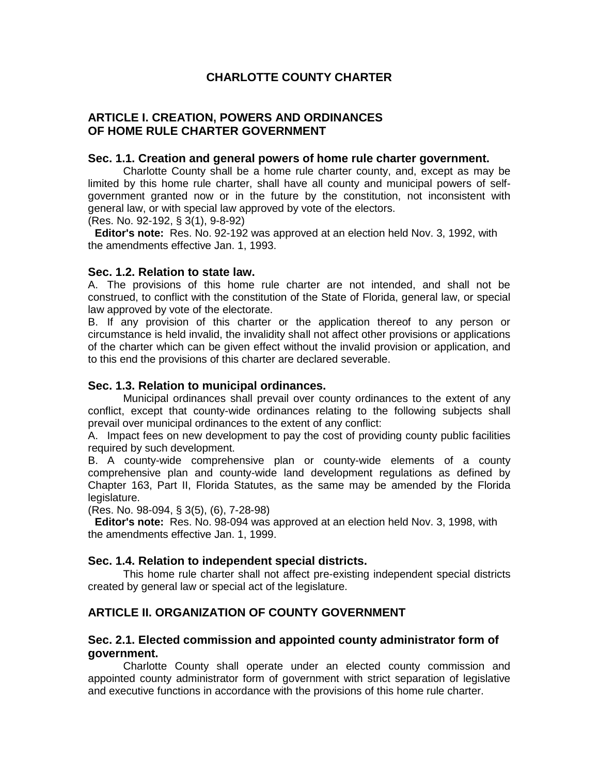# **CHARLOTTE COUNTY CHARTER**

## **ARTICLE I. CREATION, POWERS AND ORDINANCES OF HOME RULE CHARTER GOVERNMENT**

#### **Sec. 1.1. Creation and general powers of home rule charter government.**

Charlotte County shall be a home rule charter county, and, except as may be limited by this home rule charter, shall have all county and municipal powers of selfgovernment granted now or in the future by the constitution, not inconsistent with general law, or with special law approved by vote of the electors.

(Res. No. 92-192, § 3(1), 9-8-92)

**Editor's note:** Res. No. 92-192 was approved at an election held Nov. 3, 1992, with the amendments effective Jan. 1, 1993.

#### **Sec. 1.2. Relation to state law.**

A. The provisions of this home rule charter are not intended, and shall not be construed, to conflict with the constitution of the State of Florida, general law, or special law approved by vote of the electorate.

B. If any provision of this charter or the application thereof to any person or circumstance is held invalid, the invalidity shall not affect other provisions or applications of the charter which can be given effect without the invalid provision or application, and to this end the provisions of this charter are declared severable.

#### **Sec. 1.3. Relation to municipal ordinances.**

Municipal ordinances shall prevail over county ordinances to the extent of any conflict, except that county-wide ordinances relating to the following subjects shall prevail over municipal ordinances to the extent of any conflict:

A. Impact fees on new development to pay the cost of providing county public facilities required by such development.

B. A county-wide comprehensive plan or county-wide elements of a county comprehensive plan and county-wide land development regulations as defined by Chapter 163, Part II, Florida Statutes, as the same may be amended by the Florida legislature.

(Res. No. 98-094, § 3(5), (6), 7-28-98)

**Editor's note:** Res. No. 98-094 was approved at an election held Nov. 3, 1998, with the amendments effective Jan. 1, 1999.

## **Sec. 1.4. Relation to independent special districts.**

This home rule charter shall not affect pre-existing independent special districts created by general law or special act of the legislature.

## **ARTICLE II. ORGANIZATION OF COUNTY GOVERNMENT**

## **Sec. 2.1. Elected commission and appointed county administrator form of government.**

Charlotte County shall operate under an elected county commission and appointed county administrator form of government with strict separation of legislative and executive functions in accordance with the provisions of this home rule charter.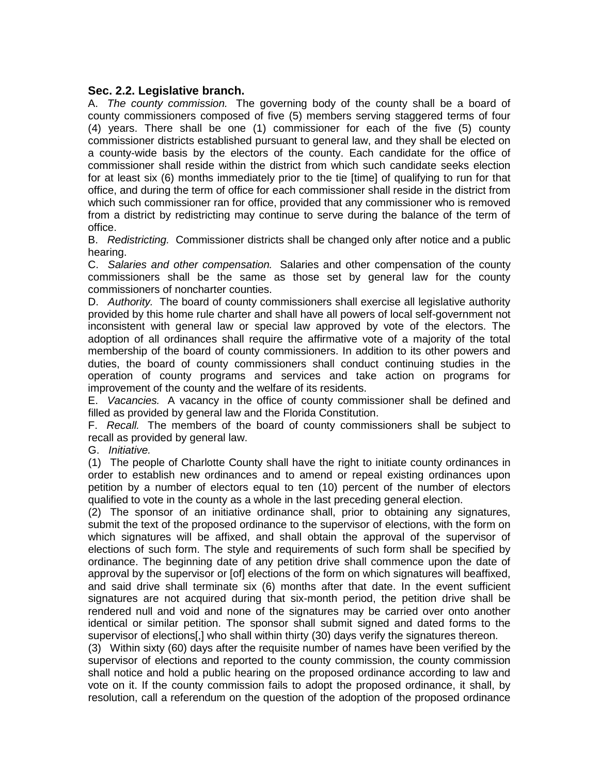## **Sec. 2.2. Legislative branch.**

A. *The county commission.* The governing body of the county shall be a board of county commissioners composed of five (5) members serving staggered terms of four (4) years. There shall be one (1) commissioner for each of the five (5) county commissioner districts established pursuant to general law, and they shall be elected on a county-wide basis by the electors of the county. Each candidate for the office of commissioner shall reside within the district from which such candidate seeks election for at least six (6) months immediately prior to the tie [time] of qualifying to run for that office, and during the term of office for each commissioner shall reside in the district from which such commissioner ran for office, provided that any commissioner who is removed from a district by redistricting may continue to serve during the balance of the term of office.

B. *Redistricting.* Commissioner districts shall be changed only after notice and a public hearing.

C. *Salaries and other compensation.* Salaries and other compensation of the county commissioners shall be the same as those set by general law for the county commissioners of noncharter counties.

D. *Authority.* The board of county commissioners shall exercise all legislative authority provided by this home rule charter and shall have all powers of local self-government not inconsistent with general law or special law approved by vote of the electors. The adoption of all ordinances shall require the affirmative vote of a majority of the total membership of the board of county commissioners. In addition to its other powers and duties, the board of county commissioners shall conduct continuing studies in the operation of county programs and services and take action on programs for improvement of the county and the welfare of its residents.

E. *Vacancies.* A vacancy in the office of county commissioner shall be defined and filled as provided by general law and the Florida Constitution.

F. *Recall.* The members of the board of county commissioners shall be subject to recall as provided by general law.

G. *Initiative.*

(1) The people of Charlotte County shall have the right to initiate county ordinances in order to establish new ordinances and to amend or repeal existing ordinances upon petition by a number of electors equal to ten (10) percent of the number of electors qualified to vote in the county as a whole in the last preceding general election.

(2) The sponsor of an initiative ordinance shall, prior to obtaining any signatures, submit the text of the proposed ordinance to the supervisor of elections, with the form on which signatures will be affixed, and shall obtain the approval of the supervisor of elections of such form. The style and requirements of such form shall be specified by ordinance. The beginning date of any petition drive shall commence upon the date of approval by the supervisor or [of] elections of the form on which signatures will beaffixed, and said drive shall terminate six (6) months after that date. In the event sufficient signatures are not acquired during that six-month period, the petition drive shall be rendered null and void and none of the signatures may be carried over onto another identical or similar petition. The sponsor shall submit signed and dated forms to the supervisor of elections[,] who shall within thirty (30) days verify the signatures thereon.

(3) Within sixty (60) days after the requisite number of names have been verified by the supervisor of elections and reported to the county commission, the county commission shall notice and hold a public hearing on the proposed ordinance according to law and vote on it. If the county commission fails to adopt the proposed ordinance, it shall, by resolution, call a referendum on the question of the adoption of the proposed ordinance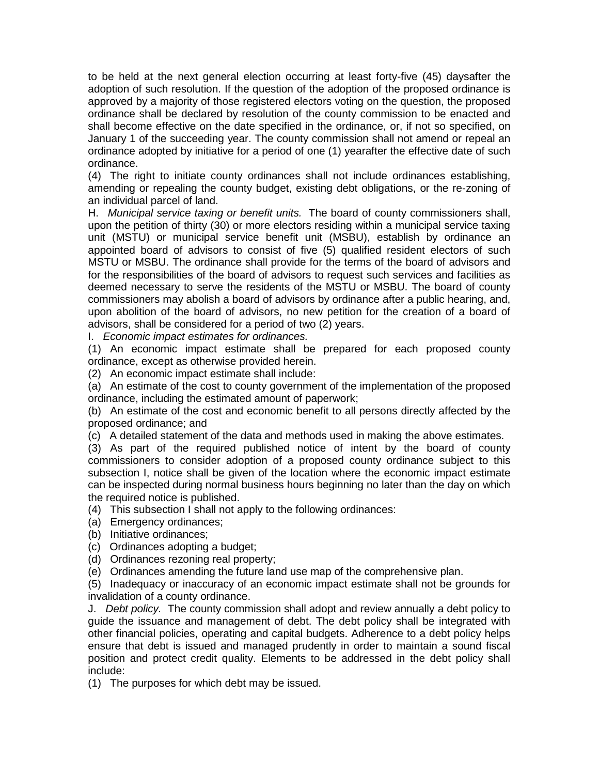to be held at the next general election occurring at least forty-five (45) daysafter the adoption of such resolution. If the question of the adoption of the proposed ordinance is approved by a majority of those registered electors voting on the question, the proposed ordinance shall be declared by resolution of the county commission to be enacted and shall become effective on the date specified in the ordinance, or, if not so specified, on January 1 of the succeeding year. The county commission shall not amend or repeal an ordinance adopted by initiative for a period of one (1) yearafter the effective date of such ordinance.

(4) The right to initiate county ordinances shall not include ordinances establishing, amending or repealing the county budget, existing debt obligations, or the re-zoning of an individual parcel of land.

H. *Municipal service taxing or benefit units.* The board of county commissioners shall, upon the petition of thirty (30) or more electors residing within a municipal service taxing unit (MSTU) or municipal service benefit unit (MSBU), establish by ordinance an appointed board of advisors to consist of five (5) qualified resident electors of such MSTU or MSBU. The ordinance shall provide for the terms of the board of advisors and for the responsibilities of the board of advisors to request such services and facilities as deemed necessary to serve the residents of the MSTU or MSBU. The board of county commissioners may abolish a board of advisors by ordinance after a public hearing, and, upon abolition of the board of advisors, no new petition for the creation of a board of advisors, shall be considered for a period of two (2) years.

I. *Economic impact estimates for ordinances.*

(1) An economic impact estimate shall be prepared for each proposed county ordinance, except as otherwise provided herein.

(2) An economic impact estimate shall include:

(a) An estimate of the cost to county government of the implementation of the proposed ordinance, including the estimated amount of paperwork;

(b) An estimate of the cost and economic benefit to all persons directly affected by the proposed ordinance; and

(c) A detailed statement of the data and methods used in making the above estimates.

(3) As part of the required published notice of intent by the board of county commissioners to consider adoption of a proposed county ordinance subject to this subsection I, notice shall be given of the location where the economic impact estimate can be inspected during normal business hours beginning no later than the day on which the required notice is published.

(4) This subsection I shall not apply to the following ordinances:

- (a) Emergency ordinances;
- (b) Initiative ordinances;

(c) Ordinances adopting a budget;

(d) Ordinances rezoning real property;

(e) Ordinances amending the future land use map of the comprehensive plan.

(5) Inadequacy or inaccuracy of an economic impact estimate shall not be grounds for invalidation of a county ordinance.

J. *Debt policy.* The county commission shall adopt and review annually a debt policy to guide the issuance and management of debt. The debt policy shall be integrated with other financial policies, operating and capital budgets. Adherence to a debt policy helps ensure that debt is issued and managed prudently in order to maintain a sound fiscal position and protect credit quality. Elements to be addressed in the debt policy shall include:

(1) The purposes for which debt may be issued.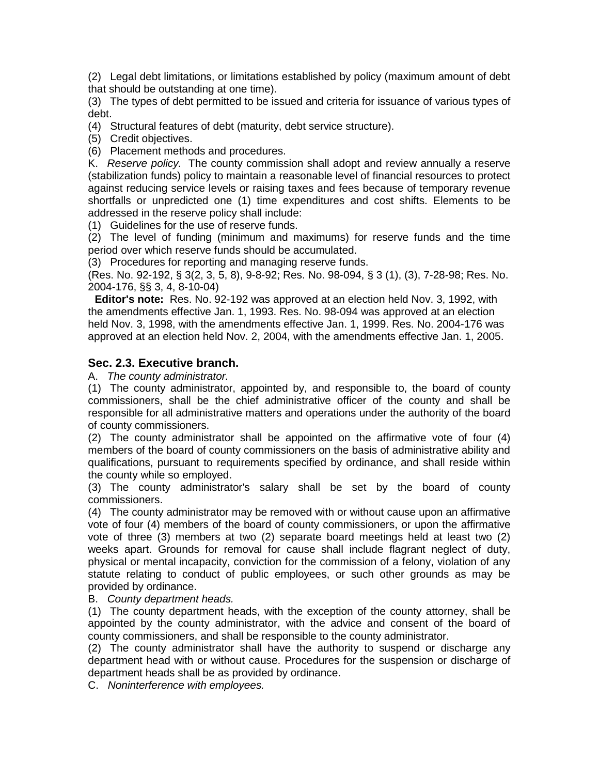(2) Legal debt limitations, or limitations established by policy (maximum amount of debt that should be outstanding at one time).

(3) The types of debt permitted to be issued and criteria for issuance of various types of debt.

(4) Structural features of debt (maturity, debt service structure).

(5) Credit objectives.

(6) Placement methods and procedures.

K. *Reserve policy.* The county commission shall adopt and review annually a reserve (stabilization funds) policy to maintain a reasonable level of financial resources to protect against reducing service levels or raising taxes and fees because of temporary revenue shortfalls or unpredicted one (1) time expenditures and cost shifts. Elements to be addressed in the reserve policy shall include:

(1) Guidelines for the use of reserve funds.

(2) The level of funding (minimum and maximums) for reserve funds and the time period over which reserve funds should be accumulated.

(3) Procedures for reporting and managing reserve funds.

(Res. No. 92-192, § 3(2, 3, 5, 8), 9-8-92; Res. No. 98-094, § 3 (1), (3), 7-28-98; Res. No. 2004-176, §§ 3, 4, 8-10-04)

**Editor's note:** Res. No. 92-192 was approved at an election held Nov. 3, 1992, with the amendments effective Jan. 1, 1993. Res. No. 98-094 was approved at an election held Nov. 3, 1998, with the amendments effective Jan. 1, 1999. Res. No. 2004-176 was approved at an election held Nov. 2, 2004, with the amendments effective Jan. 1, 2005.

## **Sec. 2.3. Executive branch.**

A. *The county administrator.*

(1) The county administrator, appointed by, and responsible to, the board of county commissioners, shall be the chief administrative officer of the county and shall be responsible for all administrative matters and operations under the authority of the board of county commissioners.

(2) The county administrator shall be appointed on the affirmative vote of four (4) members of the board of county commissioners on the basis of administrative ability and qualifications, pursuant to requirements specified by ordinance, and shall reside within the county while so employed.

(3) The county administrator's salary shall be set by the board of county commissioners.

(4) The county administrator may be removed with or without cause upon an affirmative vote of four (4) members of the board of county commissioners, or upon the affirmative vote of three (3) members at two (2) separate board meetings held at least two (2) weeks apart. Grounds for removal for cause shall include flagrant neglect of duty, physical or mental incapacity, conviction for the commission of a felony, violation of any statute relating to conduct of public employees, or such other grounds as may be provided by ordinance.

B. *County department heads.*

(1) The county department heads, with the exception of the county attorney, shall be appointed by the county administrator, with the advice and consent of the board of county commissioners, and shall be responsible to the county administrator.

(2) The county administrator shall have the authority to suspend or discharge any department head with or without cause. Procedures for the suspension or discharge of department heads shall be as provided by ordinance.

C. *Noninterference with employees.*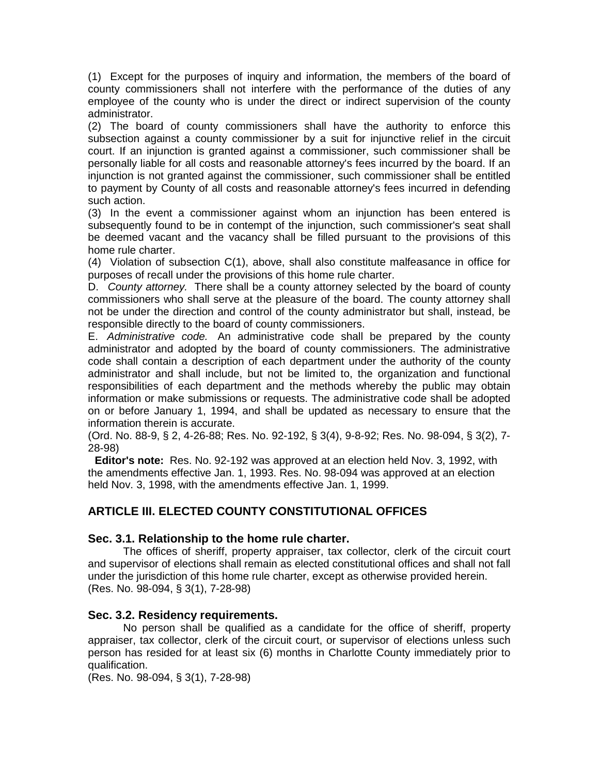(1) Except for the purposes of inquiry and information, the members of the board of county commissioners shall not interfere with the performance of the duties of any employee of the county who is under the direct or indirect supervision of the county administrator.

(2) The board of county commissioners shall have the authority to enforce this subsection against a county commissioner by a suit for injunctive relief in the circuit court. If an injunction is granted against a commissioner, such commissioner shall be personally liable for all costs and reasonable attorney's fees incurred by the board. If an injunction is not granted against the commissioner, such commissioner shall be entitled to payment by County of all costs and reasonable attorney's fees incurred in defending such action.

(3) In the event a commissioner against whom an injunction has been entered is subsequently found to be in contempt of the injunction, such commissioner's seat shall be deemed vacant and the vacancy shall be filled pursuant to the provisions of this home rule charter.

(4) Violation of subsection C(1), above, shall also constitute malfeasance in office for purposes of recall under the provisions of this home rule charter.

D. *County attorney.* There shall be a county attorney selected by the board of county commissioners who shall serve at the pleasure of the board. The county attorney shall not be under the direction and control of the county administrator but shall, instead, be responsible directly to the board of county commissioners.

E. *Administrative code.* An administrative code shall be prepared by the county administrator and adopted by the board of county commissioners. The administrative code shall contain a description of each department under the authority of the county administrator and shall include, but not be limited to, the organization and functional responsibilities of each department and the methods whereby the public may obtain information or make submissions or requests. The administrative code shall be adopted on or before January 1, 1994, and shall be updated as necessary to ensure that the information therein is accurate.

(Ord. No. 88-9, § 2, 4-26-88; Res. No. 92-192, § 3(4), 9-8-92; Res. No. 98-094, § 3(2), 7- 28-98)

**Editor's note:** Res. No. 92-192 was approved at an election held Nov. 3, 1992, with the amendments effective Jan. 1, 1993. Res. No. 98-094 was approved at an election held Nov. 3, 1998, with the amendments effective Jan. 1, 1999.

# **ARTICLE III. ELECTED COUNTY CONSTITUTIONAL OFFICES**

## **Sec. 3.1. Relationship to the home rule charter.**

The offices of sheriff, property appraiser, tax collector, clerk of the circuit court and supervisor of elections shall remain as elected constitutional offices and shall not fall under the jurisdiction of this home rule charter, except as otherwise provided herein. (Res. No. 98-094, § 3(1), 7-28-98)

## **Sec. 3.2. Residency requirements.**

No person shall be qualified as a candidate for the office of sheriff, property appraiser, tax collector, clerk of the circuit court, or supervisor of elections unless such person has resided for at least six (6) months in Charlotte County immediately prior to qualification.

(Res. No. 98-094, § 3(1), 7-28-98)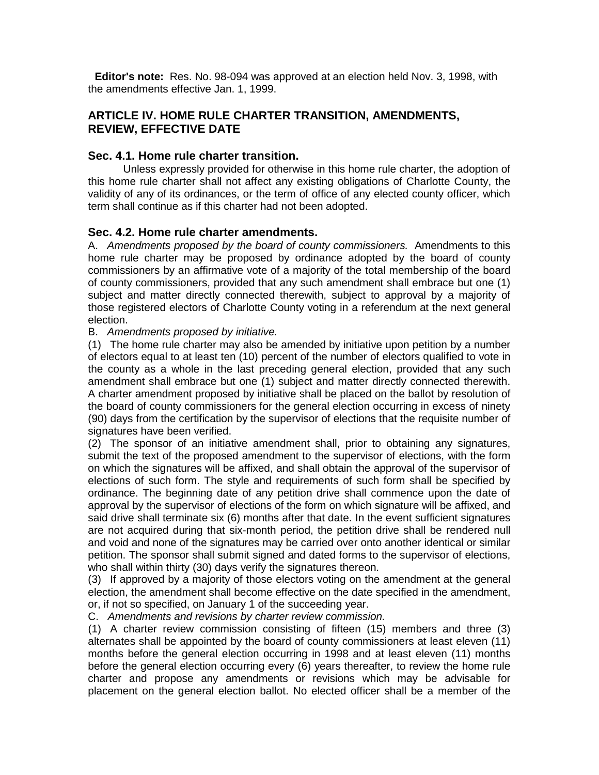**Editor's note:** Res. No. 98-094 was approved at an election held Nov. 3, 1998, with the amendments effective Jan. 1, 1999.

# **ARTICLE IV. HOME RULE CHARTER TRANSITION, AMENDMENTS, REVIEW, EFFECTIVE DATE**

## **Sec. 4.1. Home rule charter transition.**

Unless expressly provided for otherwise in this home rule charter, the adoption of this home rule charter shall not affect any existing obligations of Charlotte County, the validity of any of its ordinances, or the term of office of any elected county officer, which term shall continue as if this charter had not been adopted.

# **Sec. 4.2. Home rule charter amendments.**

A. *Amendments proposed by the board of county commissioners.* Amendments to this home rule charter may be proposed by ordinance adopted by the board of county commissioners by an affirmative vote of a majority of the total membership of the board of county commissioners, provided that any such amendment shall embrace but one (1) subject and matter directly connected therewith, subject to approval by a majority of those registered electors of Charlotte County voting in a referendum at the next general election.

## B. *Amendments proposed by initiative.*

(1) The home rule charter may also be amended by initiative upon petition by a number of electors equal to at least ten (10) percent of the number of electors qualified to vote in the county as a whole in the last preceding general election, provided that any such amendment shall embrace but one (1) subject and matter directly connected therewith. A charter amendment proposed by initiative shall be placed on the ballot by resolution of the board of county commissioners for the general election occurring in excess of ninety (90) days from the certification by the supervisor of elections that the requisite number of signatures have been verified.

(2) The sponsor of an initiative amendment shall, prior to obtaining any signatures, submit the text of the proposed amendment to the supervisor of elections, with the form on which the signatures will be affixed, and shall obtain the approval of the supervisor of elections of such form. The style and requirements of such form shall be specified by ordinance. The beginning date of any petition drive shall commence upon the date of approval by the supervisor of elections of the form on which signature will be affixed, and said drive shall terminate six (6) months after that date. In the event sufficient signatures are not acquired during that six-month period, the petition drive shall be rendered null and void and none of the signatures may be carried over onto another identical or similar petition. The sponsor shall submit signed and dated forms to the supervisor of elections, who shall within thirty (30) days verify the signatures thereon.

(3) If approved by a majority of those electors voting on the amendment at the general election, the amendment shall become effective on the date specified in the amendment, or, if not so specified, on January 1 of the succeeding year.

C. *Amendments and revisions by charter review commission.*

(1) A charter review commission consisting of fifteen (15) members and three (3) alternates shall be appointed by the board of county commissioners at least eleven (11) months before the general election occurring in 1998 and at least eleven (11) months before the general election occurring every (6) years thereafter, to review the home rule charter and propose any amendments or revisions which may be advisable for placement on the general election ballot. No elected officer shall be a member of the